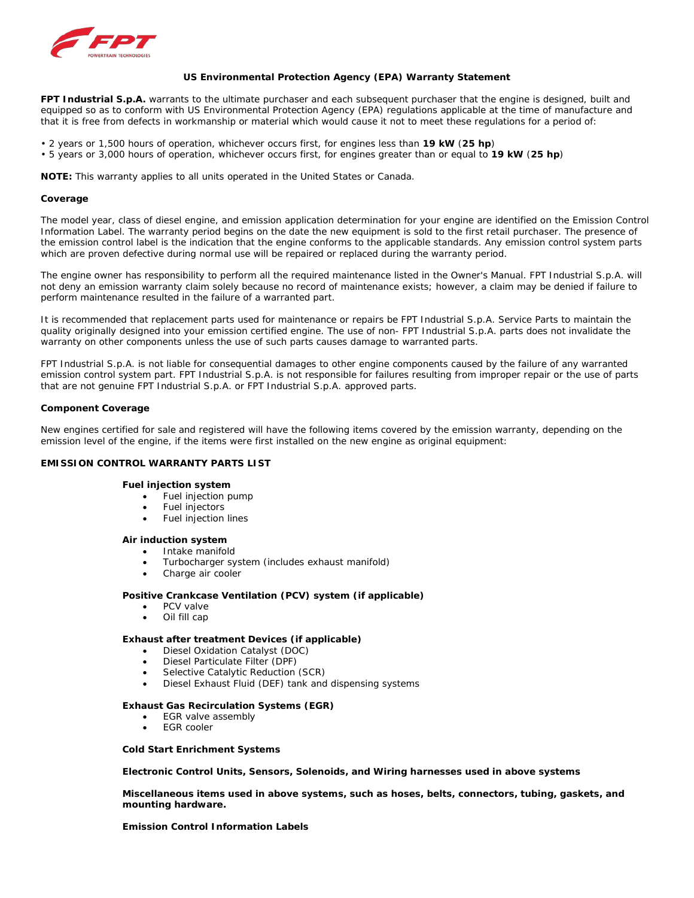

## **US Environmental Protection Agency (EPA) Warranty Statement**

**FPT Industrial S.p.A.** warrants to the ultimate purchaser and each subsequent purchaser that the engine is designed, built and equipped so as to conform with US Environmental Protection Agency (EPA) regulations applicable at the time of manufacture and that it is free from defects in workmanship or material which would cause it not to meet these regulations for a period of:

- 2 years or 1,500 hours of operation, whichever occurs first, for engines less than **19 kW** (**25 hp**)
- 5 years or 3,000 hours of operation, whichever occurs first, for engines greater than or equal to **19 kW** (**25 hp**)

*NOTE: This warranty applies to all units operated in the United States or Canada.*

#### **Coverage**

The model year, class of diesel engine, and emission application determination for your engine are identified on the Emission Control Information Label. The warranty period begins on the date the new equipment is sold to the first retail purchaser. The presence of the emission control label is the indication that the engine conforms to the applicable standards. Any emission control system parts which are proven defective during normal use will be repaired or replaced during the warranty period.

The engine owner has responsibility to perform all the required maintenance listed in the Owner's Manual. FPT Industrial S.p.A. will not deny an emission warranty claim solely because no record of maintenance exists; however, a claim may be denied if failure to perform maintenance resulted in the failure of a warranted part.

It is recommended that replacement parts used for maintenance or repairs be FPT Industrial S.p.A. Service Parts to maintain the quality originally designed into your emission certified engine. The use of non- FPT Industrial S.p.A. parts does not invalidate the warranty on other components unless the use of such parts causes damage to warranted parts.

FPT Industrial S.p.A. is not liable for consequential damages to other engine components caused by the failure of any warranted emission control system part. FPT Industrial S.p.A. is not responsible for failures resulting from improper repair or the use of parts that are not genuine FPT Industrial S.p.A. or FPT Industrial S.p.A. approved parts.

## **Component Coverage**

New engines certified for sale and registered will have the following items covered by the emission warranty, depending on the emission level of the engine, if the items were first installed on the new engine as original equipment:

# **EMISSION CONTROL WARRANTY PARTS LIST**

#### **Fuel injection system**

- Fuel injection pump
- Fuel injectors
- Fuel injection lines

#### **Air induction system**

- Intake manifold
- Turbocharger system (includes exhaust manifold)
- Charge air cooler

## **Positive Crankcase Ventilation (PCV) system (if applicable)**

- PCV valve
- Oil fill cap

## **Exhaust after treatment Devices (if applicable)**

- Diesel Oxidation Catalyst (DOC)
- Diesel Particulate Filter (DPF)
- Selective Catalytic Reduction (SCR)
- Diesel Exhaust Fluid (DEF) tank and dispensing systems

#### **Exhaust Gas Recirculation Systems (EGR)**

- EGR valve assembly
- **EGR** cooler

## **Cold Start Enrichment Systems**

**Electronic Control Units, Sensors, Solenoids, and Wiring harnesses used in above systems**

**Miscellaneous items used in above systems, such as hoses, belts, connectors, tubing, gaskets, and mounting hardware.**

**Emission Control Information Labels**